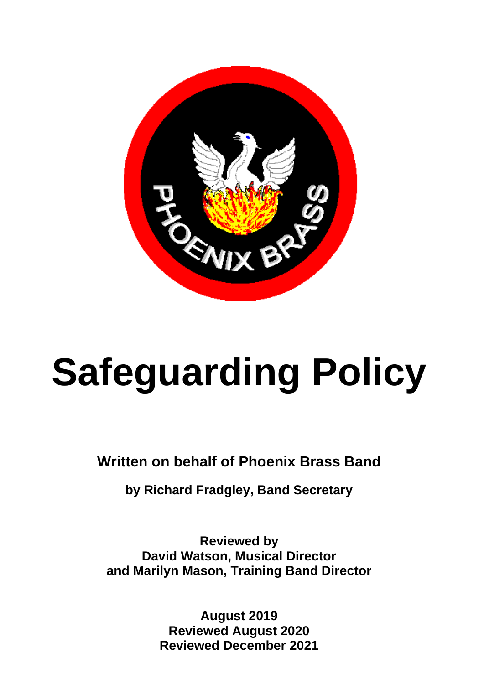

# **Safeguarding Policy**

**Written on behalf of Phoenix Brass Band**

**by Richard Fradgley, Band Secretary**

**Reviewed by David Watson, Musical Director and Marilyn Mason, Training Band Director**

> **August 2019 Reviewed August 2020 Reviewed December 2021**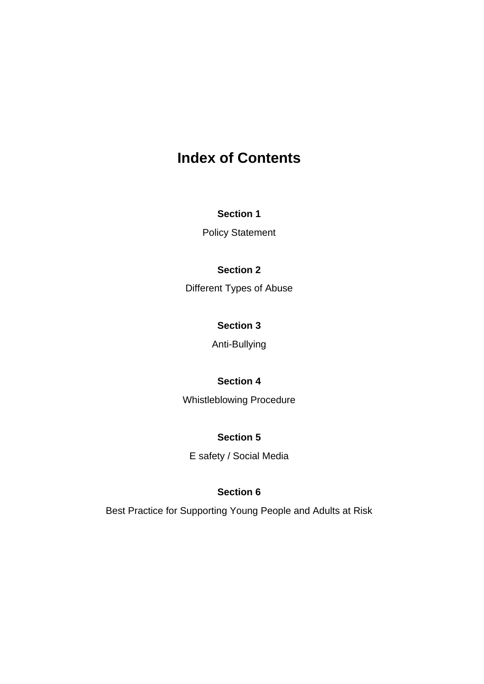# **Index of Contents**

# **Section 1**

Policy Statement

# **Section 2**

Different Types of Abuse

# **Section 3**

Anti-Bullying

# **Section 4**

Whistleblowing Procedure

# **Section 5**

E safety / Social Media

# **Section 6**

Best Practice for Supporting Young People and Adults at Risk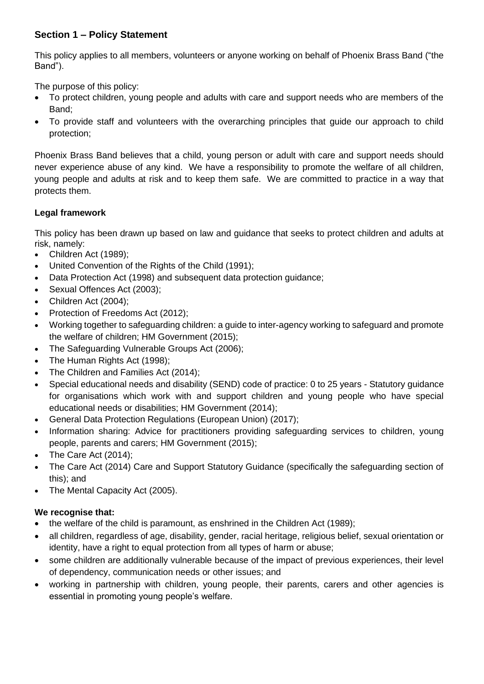# **Section 1 – Policy Statement**

This policy applies to all members, volunteers or anyone working on behalf of Phoenix Brass Band ("the Band").

The purpose of this policy:

- To protect children, young people and adults with care and support needs who are members of the Band;
- To provide staff and volunteers with the overarching principles that guide our approach to child protection;

Phoenix Brass Band believes that a child, young person or adult with care and support needs should never experience abuse of any kind. We have a responsibility to promote the welfare of all children, young people and adults at risk and to keep them safe. We are committed to practice in a way that protects them.

# **Legal framework**

This policy has been drawn up based on law and guidance that seeks to protect children and adults at risk, namely:

- Children Act (1989);
- United Convention of the Rights of the Child (1991);
- Data Protection Act (1998) and subsequent data protection guidance;
- Sexual Offences Act (2003):
- Children Act (2004);
- Protection of Freedoms Act (2012);
- Working together to safeguarding children: a guide to inter-agency working to safeguard and promote the welfare of children; HM Government (2015);
- The Safeguarding Vulnerable Groups Act (2006);
- The Human Rights Act (1998);
- The Children and Families Act (2014);
- Special educational needs and disability (SEND) code of practice: 0 to 25 years Statutory guidance for organisations which work with and support children and young people who have special educational needs or disabilities; HM Government (2014);
- General Data Protection Regulations (European Union) (2017);
- Information sharing: Advice for practitioners providing safeguarding services to children, young people, parents and carers; HM Government (2015);
- The Care Act (2014);
- The Care Act (2014) Care and Support Statutory Guidance (specifically the safeguarding section of this); and
- The Mental Capacity Act (2005).

# **We recognise that:**

- the welfare of the child is paramount, as enshrined in the Children Act (1989);
- all children, regardless of age, disability, gender, racial heritage, religious belief, sexual orientation or identity, have a right to equal protection from all types of harm or abuse;
- some children are additionally vulnerable because of the impact of previous experiences, their level of dependency, communication needs or other issues; and
- working in partnership with children, young people, their parents, carers and other agencies is essential in promoting young people's welfare.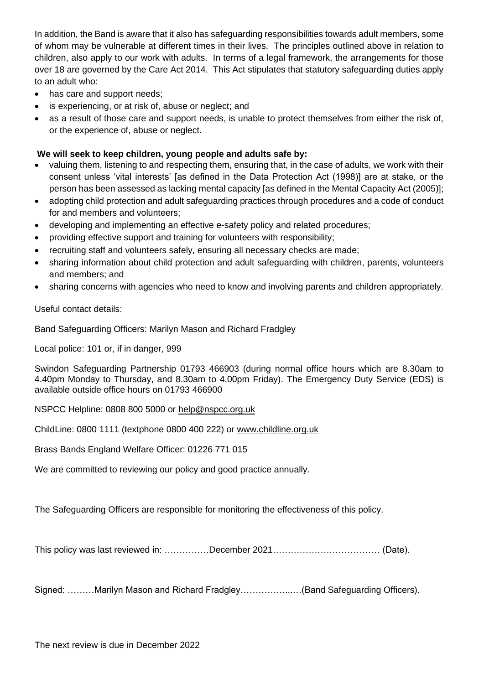In addition, the Band is aware that it also has safeguarding responsibilities towards adult members, some of whom may be vulnerable at different times in their lives. The principles outlined above in relation to children, also apply to our work with adults. In terms of a legal framework, the arrangements for those over 18 are governed by the Care Act 2014. This Act stipulates that statutory safeguarding duties apply to an adult who:

- has care and support needs;
- is experiencing, or at risk of, abuse or neglect; and
- as a result of those care and support needs, is unable to protect themselves from either the risk of, or the experience of, abuse or neglect.

#### **We will seek to keep children, young people and adults safe by:**

- valuing them, listening to and respecting them, ensuring that, in the case of adults, we work with their consent unless 'vital interests' [as defined in the Data Protection Act (1998)] are at stake, or the person has been assessed as lacking mental capacity [as defined in the Mental Capacity Act (2005)];
- adopting child protection and adult safeguarding practices through procedures and a code of conduct for and members and volunteers;
- developing and implementing an effective e-safety policy and related procedures;
- providing effective support and training for volunteers with responsibility;
- recruiting staff and volunteers safely, ensuring all necessary checks are made;
- sharing information about child protection and adult safeguarding with children, parents, volunteers and members; and
- sharing concerns with agencies who need to know and involving parents and children appropriately.

Useful contact details:

Band Safeguarding Officers: Marilyn Mason and Richard Fradgley

Local police: 101 or, if in danger, 999

Swindon Safeguarding Partnership 01793 466903 (during normal office hours which are 8.30am to 4.40pm Monday to Thursday, and 8.30am to 4.00pm Friday). The Emergency Duty Service (EDS) is available outside office hours on 01793 466900

NSPCC Helpline: 0808 800 5000 or [help@nspcc.org.uk](mailto:help@nspcc.org.uk)

ChildLine: 0800 1111 (textphone 0800 400 222) or [www.childline.org.uk](http://www.childline.org.uk/)

Brass Bands England Welfare Officer: 01226 771 015

We are committed to reviewing our policy and good practice annually.

The Safeguarding Officers are responsible for monitoring the effectiveness of this policy.

This policy was last reviewed in: ……………December 2021……………………………… (Date).

Signed: ………Marilyn Mason and Richard Fradgley……………...…(Band Safeguarding Officers).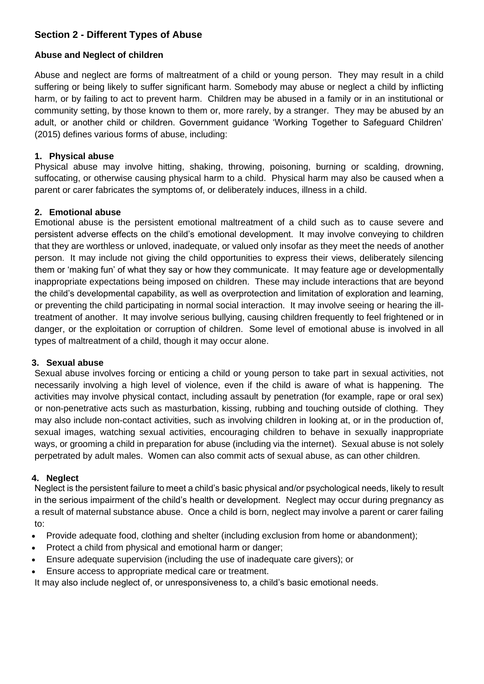# **Section 2 - Different Types of Abuse**

# **Abuse and Neglect of children**

Abuse and neglect are forms of maltreatment of a child or young person. They may result in a child suffering or being likely to suffer significant harm. Somebody may abuse or neglect a child by inflicting harm, or by failing to act to prevent harm. Children may be abused in a family or in an institutional or community setting, by those known to them or, more rarely, by a stranger. They may be abused by an adult, or another child or children. Government guidance 'Working Together to Safeguard Children' (2015) defines various forms of abuse, including:

#### **1. Physical abuse**

Physical abuse may involve hitting, shaking, throwing, poisoning, burning or scalding, drowning, suffocating, or otherwise causing physical harm to a child. Physical harm may also be caused when a parent or carer fabricates the symptoms of, or deliberately induces, illness in a child.

#### **2. Emotional abuse**

Emotional abuse is the persistent emotional maltreatment of a child such as to cause severe and persistent adverse effects on the child's emotional development. It may involve conveying to children that they are worthless or unloved, inadequate, or valued only insofar as they meet the needs of another person. It may include not giving the child opportunities to express their views, deliberately silencing them or 'making fun' of what they say or how they communicate. It may feature age or developmentally inappropriate expectations being imposed on children. These may include interactions that are beyond the child's developmental capability, as well as overprotection and limitation of exploration and learning, or preventing the child participating in normal social interaction. It may involve seeing or hearing the illtreatment of another. It may involve serious bullying, causing children frequently to feel frightened or in danger, or the exploitation or corruption of children. Some level of emotional abuse is involved in all types of maltreatment of a child, though it may occur alone.

#### **3. Sexual abuse**

Sexual abuse involves forcing or enticing a child or young person to take part in sexual activities, not necessarily involving a high level of violence, even if the child is aware of what is happening. The activities may involve physical contact, including assault by penetration (for example, rape or oral sex) or non-penetrative acts such as masturbation, kissing, rubbing and touching outside of clothing. They may also include non-contact activities, such as involving children in looking at, or in the production of, sexual images, watching sexual activities, encouraging children to behave in sexually inappropriate ways, or grooming a child in preparation for abuse (including via the internet). Sexual abuse is not solely perpetrated by adult males. Women can also commit acts of sexual abuse, as can other children.

#### **4. Neglect**

Neglect is the persistent failure to meet a child's basic physical and/or psychological needs, likely to result in the serious impairment of the child's health or development. Neglect may occur during pregnancy as a result of maternal substance abuse. Once a child is born, neglect may involve a parent or carer failing to:

- Provide adequate food, clothing and shelter (including exclusion from home or abandonment);
- Protect a child from physical and emotional harm or danger;
- Ensure adequate supervision (including the use of inadequate care givers); or
- Ensure access to appropriate medical care or treatment.

It may also include neglect of, or unresponsiveness to, a child's basic emotional needs.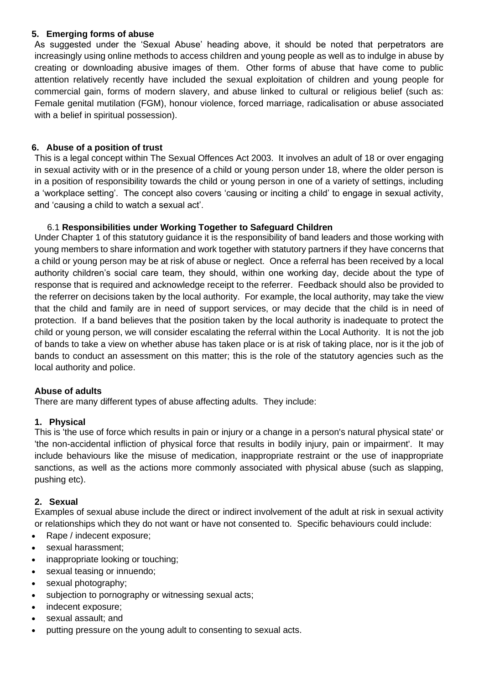#### **5. Emerging forms of abuse**

As suggested under the 'Sexual Abuse' heading above, it should be noted that perpetrators are increasingly using online methods to access children and young people as well as to indulge in abuse by creating or downloading abusive images of them. Other forms of abuse that have come to public attention relatively recently have included the sexual exploitation of children and young people for commercial gain, forms of modern slavery, and abuse linked to cultural or religious belief (such as: Female genital mutilation (FGM), honour violence, forced marriage, radicalisation or abuse associated with a belief in spiritual possession).

#### **6. Abuse of a position of trust**

This is a legal concept within The Sexual Offences Act 2003. It involves an adult of 18 or over engaging in sexual activity with or in the presence of a child or young person under 18, where the older person is in a position of responsibility towards the child or young person in one of a variety of settings, including a 'workplace setting'. The concept also covers 'causing or inciting a child' to engage in sexual activity, and 'causing a child to watch a sexual act'.

#### 6.1 **Responsibilities under Working Together to Safeguard Children**

Under Chapter 1 of this statutory guidance it is the responsibility of band leaders and those working with young members to share information and work together with statutory partners if they have concerns that a child or young person may be at risk of abuse or neglect. Once a referral has been received by a local authority children's social care team, they should, within one working day, decide about the type of response that is required and acknowledge receipt to the referrer. Feedback should also be provided to the referrer on decisions taken by the local authority. For example, the local authority, may take the view that the child and family are in need of support services, or may decide that the child is in need of protection. If a band believes that the position taken by the local authority is inadequate to protect the child or young person, we will consider escalating the referral within the Local Authority. It is not the job of bands to take a view on whether abuse has taken place or is at risk of taking place, nor is it the job of bands to conduct an assessment on this matter; this is the role of the statutory agencies such as the local authority and police.

#### **Abuse of adults**

There are many different types of abuse affecting adults. They include:

#### **1. Physical**

This is 'the use of force which results in pain or injury or a change in a person's natural physical state' or 'the non-accidental infliction of physical force that results in bodily injury, pain or impairment'. It may include behaviours like the misuse of medication, inappropriate restraint or the use of inappropriate sanctions, as well as the actions more commonly associated with physical abuse (such as slapping, pushing etc).

# **2. Sexual**

Examples of sexual abuse include the direct or indirect involvement of the adult at risk in sexual activity or relationships which they do not want or have not consented to. Specific behaviours could include:

- Rape / indecent exposure;
- sexual harassment:
- inappropriate looking or touching;
- sexual teasing or innuendo;
- sexual photography;
- subjection to pornography or witnessing sexual acts;
- indecent exposure;
- sexual assault; and
- putting pressure on the young adult to consenting to sexual acts.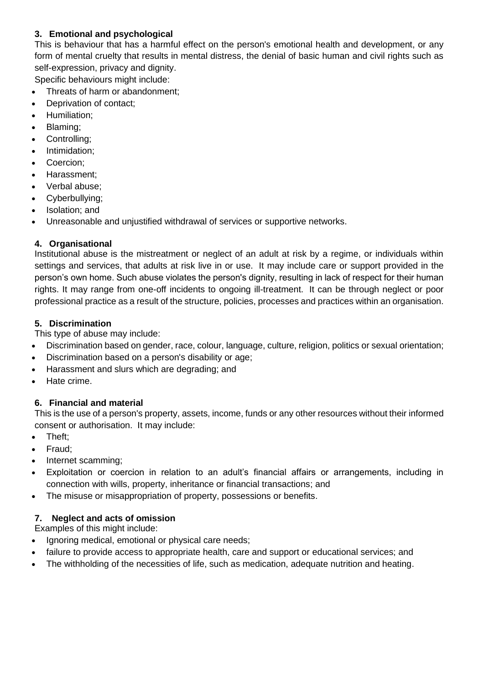# **3. Emotional and psychological**

This is behaviour that has a harmful effect on the person's emotional health and development, or any form of mental cruelty that results in mental distress, the denial of basic human and civil rights such as self-expression, privacy and dignity.

Specific behaviours might include:

- Threats of harm or abandonment;
- Deprivation of contact;
- Humiliation;
- Blaming;
- Controlling;
- Intimidation;
- Coercion;
- Harassment;
- Verbal abuse;
- Cyberbullying;
- Isolation; and
- Unreasonable and unjustified withdrawal of services or supportive networks.

# **4. Organisational**

Institutional abuse is the mistreatment or neglect of an adult at risk by a regime, or individuals within settings and services, that adults at risk live in or use. It may include care or support provided in the person's own home. Such abuse violates the person's dignity, resulting in lack of respect for their human rights. It may range from one-off incidents to ongoing ill-treatment. It can be through neglect or poor professional practice as a result of the structure, policies, processes and practices within an organisation.

# **5. Discrimination**

This type of abuse may include:

- Discrimination based on gender, race, colour, language, culture, religion, politics or sexual orientation;
- Discrimination based on a person's disability or age;
- Harassment and slurs which are degrading; and
- Hate crime.

# **6. Financial and material**

This is the use of a person's property, assets, income, funds or any other resources without their informed consent or authorisation. It may include:

- Theft;
- Fraud;
- Internet scamming;
- Exploitation or coercion in relation to an adult's financial affairs or arrangements, including in connection with wills, property, inheritance or financial transactions; and
- The misuse or misappropriation of property, possessions or benefits.

# **7. Neglect and acts of omission**

Examples of this might include:

- Ignoring medical, emotional or physical care needs;
- failure to provide access to appropriate health, care and support or educational services; and
- The withholding of the necessities of life, such as medication, adequate nutrition and heating.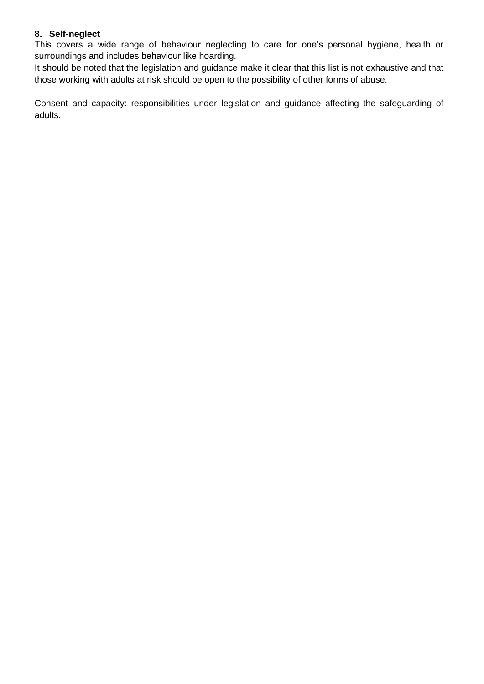# **8. Self-neglect**

This covers a wide range of behaviour neglecting to care for one's personal hygiene, health or surroundings and includes behaviour like hoarding.

It should be noted that the legislation and guidance make it clear that this list is not exhaustive and that those working with adults at risk should be open to the possibility of other forms of abuse.

Consent and capacity: responsibilities under legislation and guidance affecting the safeguarding of adults.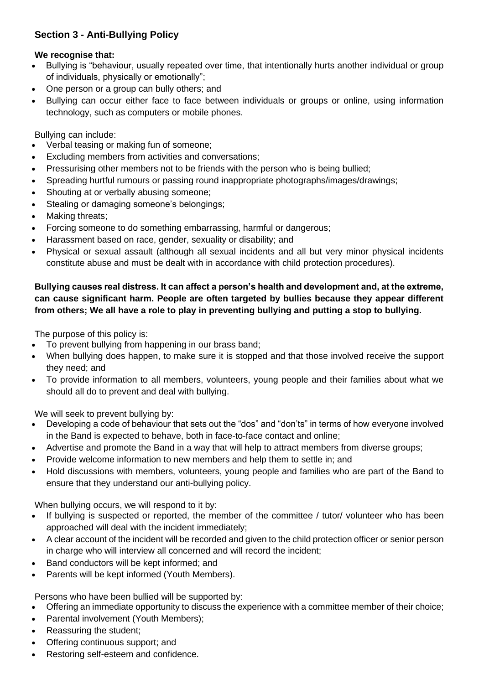# **Section 3 - Anti-Bullying Policy**

# **We recognise that:**

- Bullying is "behaviour, usually repeated over time, that intentionally hurts another individual or group of individuals, physically or emotionally";
- One person or a group can bully others; and
- Bullying can occur either face to face between individuals or groups or online, using information technology, such as computers or mobile phones.

Bullying can include:

- Verbal teasing or making fun of someone;
- Excluding members from activities and conversations;
- Pressurising other members not to be friends with the person who is being bullied;
- Spreading hurtful rumours or passing round inappropriate photographs/images/drawings;
- Shouting at or verbally abusing someone;
- Stealing or damaging someone's belongings;
- Making threats;
- Forcing someone to do something embarrassing, harmful or dangerous;
- Harassment based on race, gender, sexuality or disability; and
- Physical or sexual assault (although all sexual incidents and all but very minor physical incidents constitute abuse and must be dealt with in accordance with child protection procedures).

# **Bullying causes real distress. It can affect a person's health and development and, at the extreme, can cause significant harm. People are often targeted by bullies because they appear different from others; We all have a role to play in preventing bullying and putting a stop to bullying.**

The purpose of this policy is:

- To prevent bullying from happening in our brass band;
- When bullying does happen, to make sure it is stopped and that those involved receive the support they need; and
- To provide information to all members, volunteers, young people and their families about what we should all do to prevent and deal with bullying.

We will seek to prevent bullying by:

- Developing a code of behaviour that sets out the "dos" and "don'ts" in terms of how everyone involved in the Band is expected to behave, both in face-to-face contact and online;
- Advertise and promote the Band in a way that will help to attract members from diverse groups;
- Provide welcome information to new members and help them to settle in; and
- Hold discussions with members, volunteers, young people and families who are part of the Band to ensure that they understand our anti-bullying policy.

When bullying occurs, we will respond to it by:

- If bullying is suspected or reported, the member of the committee / tutor/ volunteer who has been approached will deal with the incident immediately;
- A clear account of the incident will be recorded and given to the child protection officer or senior person in charge who will interview all concerned and will record the incident;
- Band conductors will be kept informed; and
- Parents will be kept informed (Youth Members).

Persons who have been bullied will be supported by:

- Offering an immediate opportunity to discuss the experience with a committee member of their choice;
- Parental involvement (Youth Members);
- Reassuring the student;
- Offering continuous support; and
- Restoring self-esteem and confidence.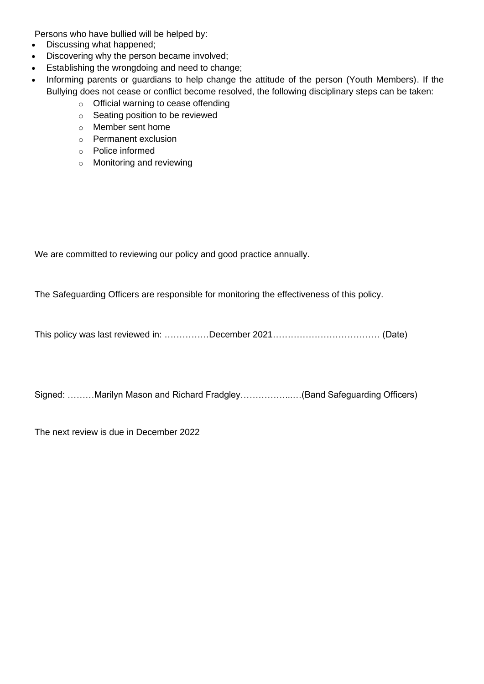Persons who have bullied will be helped by:

- Discussing what happened;
- Discovering why the person became involved;
- Establishing the wrongdoing and need to change;
- Informing parents or guardians to help change the attitude of the person (Youth Members). If the Bullying does not cease or conflict become resolved, the following disciplinary steps can be taken:
	- o Official warning to cease offending
	- o Seating position to be reviewed
	- o Member sent home
	- o Permanent exclusion
	- o Police informed
	- o Monitoring and reviewing

We are committed to reviewing our policy and good practice annually.

The Safeguarding Officers are responsible for monitoring the effectiveness of this policy.

This policy was last reviewed in: ……………December 2021……………………………… (Date)

Signed: ………Marilyn Mason and Richard Fradgley……………...…(Band Safeguarding Officers)

The next review is due in December 2022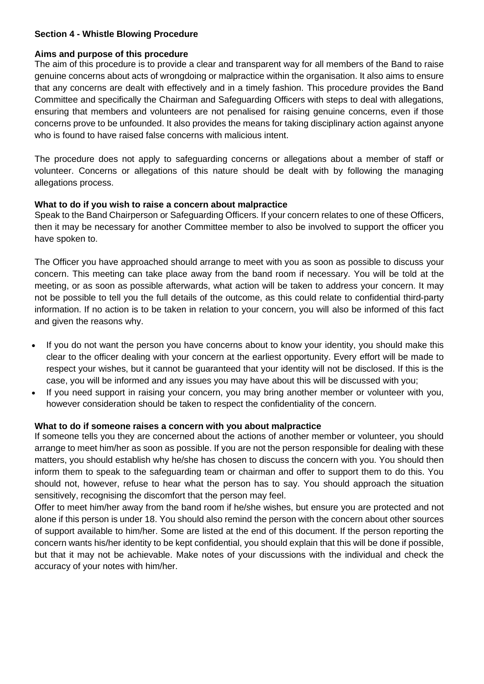#### **Section 4 - Whistle Blowing Procedure**

#### **Aims and purpose of this procedure**

The aim of this procedure is to provide a clear and transparent way for all members of the Band to raise genuine concerns about acts of wrongdoing or malpractice within the organisation. It also aims to ensure that any concerns are dealt with effectively and in a timely fashion. This procedure provides the Band Committee and specifically the Chairman and Safeguarding Officers with steps to deal with allegations, ensuring that members and volunteers are not penalised for raising genuine concerns, even if those concerns prove to be unfounded. It also provides the means for taking disciplinary action against anyone who is found to have raised false concerns with malicious intent.

The procedure does not apply to safeguarding concerns or allegations about a member of staff or volunteer. Concerns or allegations of this nature should be dealt with by following the managing allegations process.

#### **What to do if you wish to raise a concern about malpractice**

Speak to the Band Chairperson or Safeguarding Officers. If your concern relates to one of these Officers, then it may be necessary for another Committee member to also be involved to support the officer you have spoken to.

The Officer you have approached should arrange to meet with you as soon as possible to discuss your concern. This meeting can take place away from the band room if necessary. You will be told at the meeting, or as soon as possible afterwards, what action will be taken to address your concern. It may not be possible to tell you the full details of the outcome, as this could relate to confidential third-party information. If no action is to be taken in relation to your concern, you will also be informed of this fact and given the reasons why.

- If you do not want the person you have concerns about to know your identity, you should make this clear to the officer dealing with your concern at the earliest opportunity. Every effort will be made to respect your wishes, but it cannot be guaranteed that your identity will not be disclosed. If this is the case, you will be informed and any issues you may have about this will be discussed with you;
- If you need support in raising your concern, you may bring another member or volunteer with you, however consideration should be taken to respect the confidentiality of the concern.

#### **What to do if someone raises a concern with you about malpractice**

If someone tells you they are concerned about the actions of another member or volunteer, you should arrange to meet him/her as soon as possible. If you are not the person responsible for dealing with these matters, you should establish why he/she has chosen to discuss the concern with you. You should then inform them to speak to the safeguarding team or chairman and offer to support them to do this. You should not, however, refuse to hear what the person has to say. You should approach the situation sensitively, recognising the discomfort that the person may feel.

Offer to meet him/her away from the band room if he/she wishes, but ensure you are protected and not alone if this person is under 18. You should also remind the person with the concern about other sources of support available to him/her. Some are listed at the end of this document. If the person reporting the concern wants his/her identity to be kept confidential, you should explain that this will be done if possible, but that it may not be achievable. Make notes of your discussions with the individual and check the accuracy of your notes with him/her.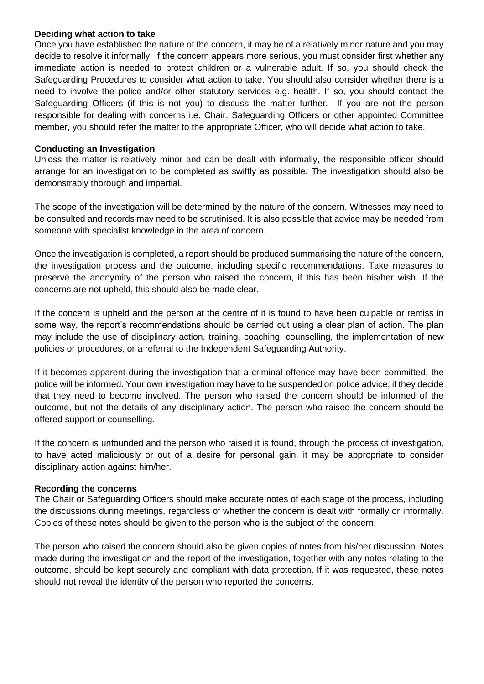#### **Deciding what action to take**

Once you have established the nature of the concern, it may be of a relatively minor nature and you may decide to resolve it informally. If the concern appears more serious, you must consider first whether any immediate action is needed to protect children or a vulnerable adult. If so, you should check the Safeguarding Procedures to consider what action to take. You should also consider whether there is a need to involve the police and/or other statutory services e.g. health. If so, you should contact the Safeguarding Officers (if this is not you) to discuss the matter further. If you are not the person responsible for dealing with concerns i.e. Chair, Safeguarding Officers or other appointed Committee member, you should refer the matter to the appropriate Officer, who will decide what action to take.

#### **Conducting an Investigation**

Unless the matter is relatively minor and can be dealt with informally, the responsible officer should arrange for an investigation to be completed as swiftly as possible. The investigation should also be demonstrably thorough and impartial.

The scope of the investigation will be determined by the nature of the concern. Witnesses may need to be consulted and records may need to be scrutinised. It is also possible that advice may be needed from someone with specialist knowledge in the area of concern.

Once the investigation is completed, a report should be produced summarising the nature of the concern, the investigation process and the outcome, including specific recommendations. Take measures to preserve the anonymity of the person who raised the concern, if this has been his/her wish. If the concerns are not upheld, this should also be made clear.

If the concern is upheld and the person at the centre of it is found to have been culpable or remiss in some way, the report's recommendations should be carried out using a clear plan of action. The plan may include the use of disciplinary action, training, coaching, counselling, the implementation of new policies or procedures, or a referral to the Independent Safeguarding Authority.

If it becomes apparent during the investigation that a criminal offence may have been committed, the police will be informed. Your own investigation may have to be suspended on police advice, if they decide that they need to become involved. The person who raised the concern should be informed of the outcome, but not the details of any disciplinary action. The person who raised the concern should be offered support or counselling.

If the concern is unfounded and the person who raised it is found, through the process of investigation, to have acted maliciously or out of a desire for personal gain, it may be appropriate to consider disciplinary action against him/her.

#### **Recording the concerns**

The Chair or Safeguarding Officers should make accurate notes of each stage of the process, including the discussions during meetings, regardless of whether the concern is dealt with formally or informally. Copies of these notes should be given to the person who is the subject of the concern.

The person who raised the concern should also be given copies of notes from his/her discussion. Notes made during the investigation and the report of the investigation, together with any notes relating to the outcome, should be kept securely and compliant with data protection. If it was requested, these notes should not reveal the identity of the person who reported the concerns.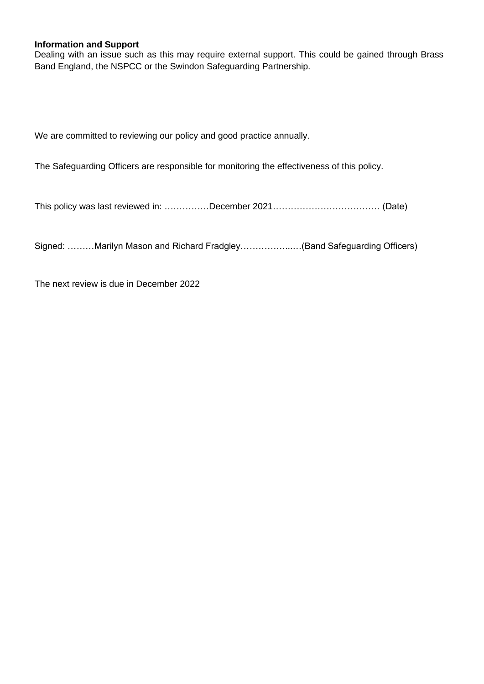#### **Information and Support**

Dealing with an issue such as this may require external support. This could be gained through Brass Band England, the NSPCC or the Swindon Safeguarding Partnership.

We are committed to reviewing our policy and good practice annually.

The Safeguarding Officers are responsible for monitoring the effectiveness of this policy.

This policy was last reviewed in: ……………December 2021……………………………… (Date)

Signed: ………Marilyn Mason and Richard Fradgley……………...…(Band Safeguarding Officers)

The next review is due in December 2022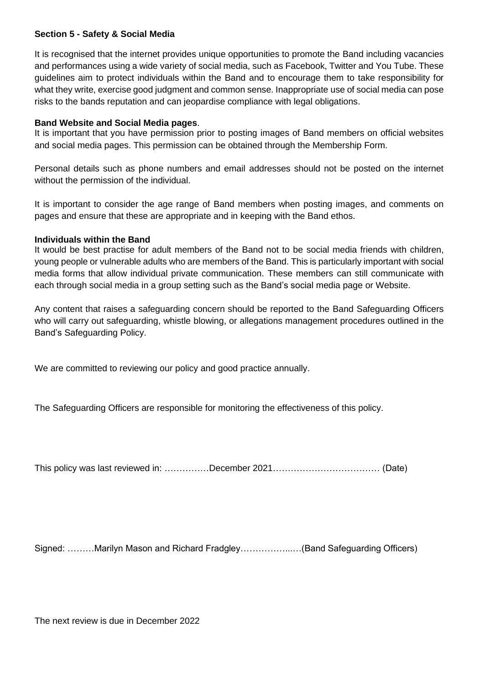#### **Section 5 - Safety & Social Media**

It is recognised that the internet provides unique opportunities to promote the Band including vacancies and performances using a wide variety of social media, such as Facebook, Twitter and You Tube. These guidelines aim to protect individuals within the Band and to encourage them to take responsibility for what they write, exercise good judgment and common sense. Inappropriate use of social media can pose risks to the bands reputation and can jeopardise compliance with legal obligations.

#### **Band Website and Social Media pages**.

It is important that you have permission prior to posting images of Band members on official websites and social media pages. This permission can be obtained through the Membership Form.

Personal details such as phone numbers and email addresses should not be posted on the internet without the permission of the individual.

It is important to consider the age range of Band members when posting images, and comments on pages and ensure that these are appropriate and in keeping with the Band ethos.

#### **Individuals within the Band**

It would be best practise for adult members of the Band not to be social media friends with children, young people or vulnerable adults who are members of the Band. This is particularly important with social media forms that allow individual private communication. These members can still communicate with each through social media in a group setting such as the Band's social media page or Website.

Any content that raises a safeguarding concern should be reported to the Band Safeguarding Officers who will carry out safeguarding, whistle blowing, or allegations management procedures outlined in the Band's Safeguarding Policy.

We are committed to reviewing our policy and good practice annually.

The Safeguarding Officers are responsible for monitoring the effectiveness of this policy.

This policy was last reviewed in: ……………December 2021……………………………… (Date)

Signed: ………Marilyn Mason and Richard Fradgley……………...…(Band Safeguarding Officers)